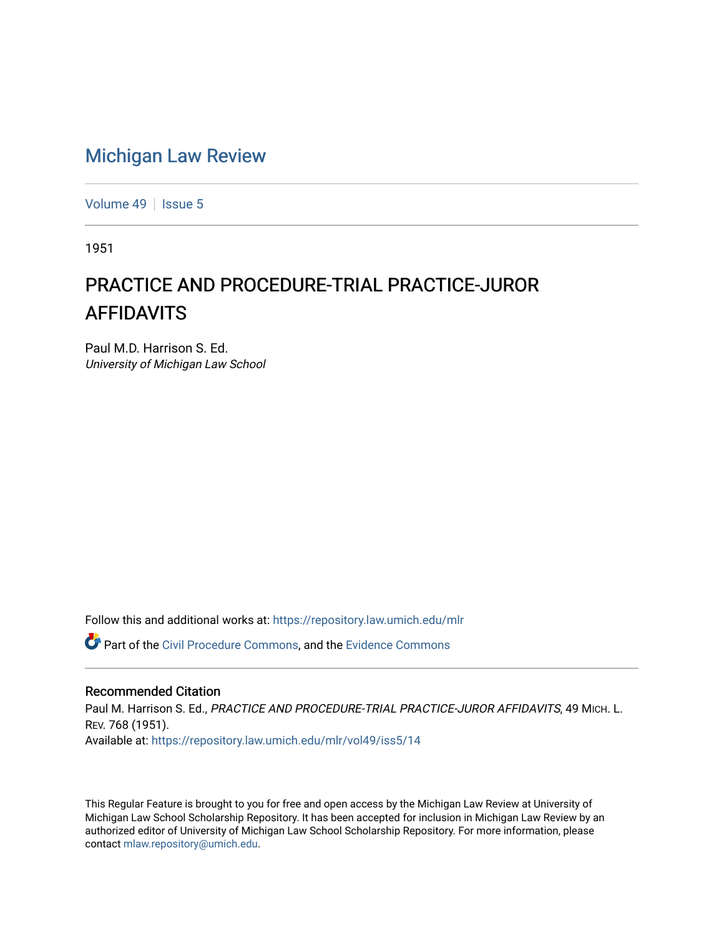## [Michigan Law Review](https://repository.law.umich.edu/mlr)

[Volume 49](https://repository.law.umich.edu/mlr/vol49) | [Issue 5](https://repository.law.umich.edu/mlr/vol49/iss5)

1951

## PRACTICE AND PROCEDURE-TRIAL PRACTICE-JUROR AFFIDAVITS

Paul M.D. Harrison S. Ed. University of Michigan Law School

Follow this and additional works at: [https://repository.law.umich.edu/mlr](https://repository.law.umich.edu/mlr?utm_source=repository.law.umich.edu%2Fmlr%2Fvol49%2Fiss5%2F14&utm_medium=PDF&utm_campaign=PDFCoverPages) 

Part of the [Civil Procedure Commons,](http://network.bepress.com/hgg/discipline/584?utm_source=repository.law.umich.edu%2Fmlr%2Fvol49%2Fiss5%2F14&utm_medium=PDF&utm_campaign=PDFCoverPages) and the [Evidence Commons](http://network.bepress.com/hgg/discipline/601?utm_source=repository.law.umich.edu%2Fmlr%2Fvol49%2Fiss5%2F14&utm_medium=PDF&utm_campaign=PDFCoverPages) 

## Recommended Citation

Paul M. Harrison S. Ed., PRACTICE AND PROCEDURE-TRIAL PRACTICE-JUROR AFFIDAVITS, 49 MICH. L. REV. 768 (1951). Available at: [https://repository.law.umich.edu/mlr/vol49/iss5/14](https://repository.law.umich.edu/mlr/vol49/iss5/14?utm_source=repository.law.umich.edu%2Fmlr%2Fvol49%2Fiss5%2F14&utm_medium=PDF&utm_campaign=PDFCoverPages) 

This Regular Feature is brought to you for free and open access by the Michigan Law Review at University of Michigan Law School Scholarship Repository. It has been accepted for inclusion in Michigan Law Review by an authorized editor of University of Michigan Law School Scholarship Repository. For more information, please contact [mlaw.repository@umich.edu](mailto:mlaw.repository@umich.edu).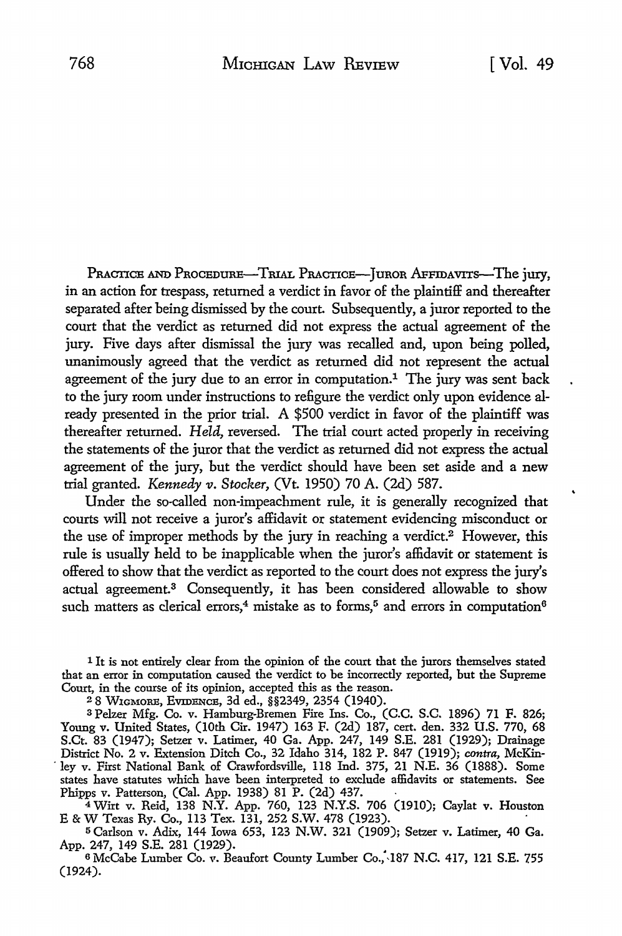PRACTICE AND PROCEDURE-TRIAL PRACTICE-JUROR AFFIDAVITS-The jury, in an action for trespass, returned a verdict in favor of the plaintiff and thereafter separated after being dismissed by the court. Subsequently, a juror reported to the court that the verdict as returned did not express the actual agreement of the jury. Five days after dismissal the jury was recalled and, upon being polled, unanimously agreed that the verdict as returned did not represent the actual agreement of the jury due to an error in computation.<sup>1</sup> The jury was sent back to the jury room under instructions to refigure the verdict only upon evidence already presented in the prior trial. A \$500 verdict in favor of the plaintiff was thereafter returned. *Held,* reversed. The trial court acted properly in receiving the statements of the juror that the verdict as returned did not express the actual agreement of the jury, but the verdict should have been set aside and a new trial granted. *Kennedy v. Stocker*, (Vt. 1950) 70 A. (2d) 587.

Under the so-called non-impeachment rule, it is generally recognized that courts will not receive a juror's affidavit or statement evidencing misconduct or the use of improper methods by the jury in reaching a verdict.2 However, this rule is usually held to be inapplicable when the juror's affidavit or statement is offered to show that the verdict as reported to the court does not express the jury's actual agreement.3 Consequently, it has been considered allowable to show such matters as clerical errors,<sup>4</sup> mistake as to forms,<sup>5</sup> and errors in computation<sup>6</sup>

1 It is not entirely clear from the opinion of the court that the jurors themselves stated that an error in computation caused the verdict to be incorrectly reported, but the Supreme Court, in the course of its opinion, accepted this as the reason.

<sup>2</sup>8 W1GMORE, EVIDENCE, 3d ed., §§2349, 2354 (1940).

<sup>3</sup>Pelzer Mfg. Co. v. Hamburg-Bremen Fire Ins. Co., (C.C. S.C. 1896) 71 F. 826; Young v. United States, (10th Cir. 1947) 163 F. (2d) 187, cert. den. 332 U.S. 770, 68 S.Ct. 83 (1947); Setzer v. Latimer, 40 Ga. App. 247, 149 S.E. 281 (1929); Drainage District No. 2 v. Extension Ditch Co., 32 Idaho 314, 182 P. 847 (1919); *contra,* McKin- . ley v. First National Bank of Crawfordsville, 118 Ind. 375, 21 N.E. 36 (1888). Some states have statutes which have been interpreted to exclude affidavits or statements. See Phipps v. Patterson, (Cal. App. 1938) 81 P. (2d) 437.

<sup>4</sup>Wirt v. Reid, 138 N.Y. App. 760, 123 N.Y.S. 706 (1910); Caylat v. Houston E & W Texas Ry. Co., 113 Tex. 131, 252 S.W. 478 (1923).

<sup>5</sup>Carlson v. Adix, 144 Iowa 653, 123 N.W. 321 (1909); Setzer v. Latimer, 40 Ga. App. 247, 149 S.E. 281 (1929).

<sup>6</sup>McCabe Lumber Co. v. Beaufort County Lumber Co.;,187 N.C. 417, 121 S.E. 755 (1924).